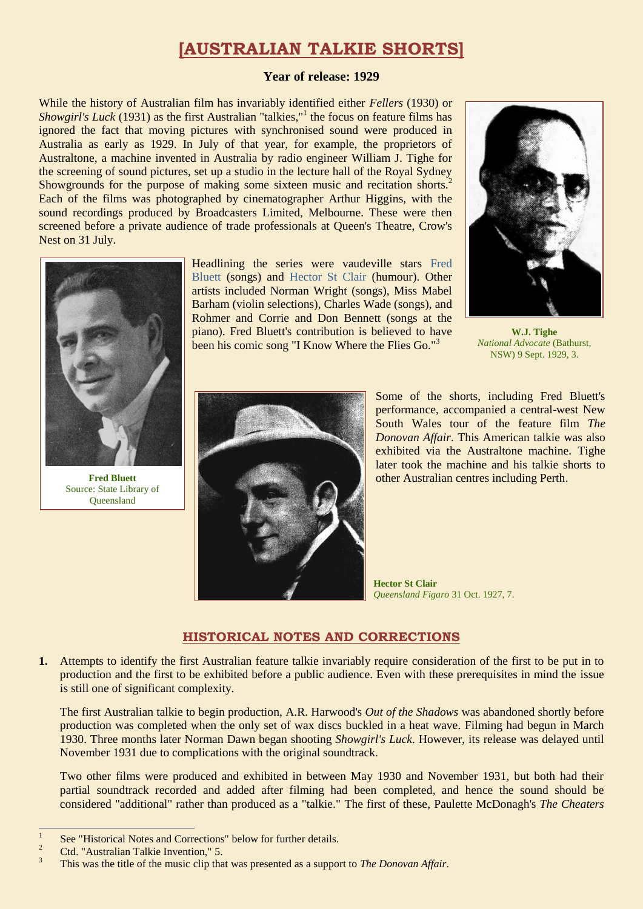## **[AUSTRALIAN TALKIE SHORTS]**

#### **Year of release: 1929**

While the history of Australian film has invariably identified either *Fellers* (1930) or *Showgirl's Luck* (1931) as the first Australian "talkies,"<sup>1</sup> the focus on feature films has ignored the fact that moving pictures with synchronised sound were produced in Australia as early as 1929. In July of that year, for example, the proprietors of Australtone, a machine invented in Australia by radio engineer William J. Tighe for the screening of sound pictures, set up a studio in the lecture hall of the Royal Sydney Showgrounds for the purpose of making some sixteen music and recitation shorts.<sup>2</sup> Each of the films was photographed by cinematographer Arthur Higgins, with the sound recordings produced by Broadcasters Limited, Melbourne. These were then screened before a private audience of trade professionals at Queen's Theatre, Crow's Nest on 31 July.



**Fred Bluett** Source: State Library of **Oueensland** 

Headlining the series were vaudeville stars [Fred](https://ozvta.com/practitioners-b/)  [Bluett](https://ozvta.com/practitioners-b/) (songs) and [Hector St Clair](https://ozvta.com/practitioners-s/) (humour). Other artists included Norman Wright (songs), Miss Mabel Barham (violin selections), Charles Wade (songs), and Rohmer and Corrie and Don Bennett (songs at the piano). Fred Bluett's contribution is believed to have been his comic song "I Know Where the Flies Go."<sup>3</sup>



**W.J. Tighe** *National Advocate* (Bathurst, NSW) 9 Sept. 1929, 3.



Some of the shorts, including Fred Bluett's performance, accompanied a central-west New South Wales tour of the feature film *The Donovan Affair*. This American talkie was also exhibited via the Australtone machine. Tighe later took the machine and his talkie shorts to other Australian centres including Perth.

**Hector St Clair** *Queensland Figaro* 31 Oct. 1927, 7.

### **HISTORICAL NOTES AND CORRECTIONS**

**1.** Attempts to identify the first Australian feature talkie invariably require consideration of the first to be put in to production and the first to be exhibited before a public audience. Even with these prerequisites in mind the issue is still one of significant complexity.

The first Australian talkie to begin production, A.R. Harwood's *Out of the Shadows* was abandoned shortly before production was completed when the only set of wax discs buckled in a heat wave. Filming had begun in March 1930. Three months later Norman Dawn began shooting *Showgirl's Luck*. However, its release was delayed until November 1931 due to complications with the original soundtrack.

Two other films were produced and exhibited in between May 1930 and November 1931, but both had their partial soundtrack recorded and added after filming had been completed, and hence the sound should be considered "additional" rather than produced as a "talkie." The first of these, Paulette McDonagh's *The Cheaters*

 $\overline{a}$ 

<sup>1</sup> See "Historical Notes and Corrections" below for further details.

<sup>&</sup>lt;sup>2</sup> Ctd. "Australian Talkie Invention," 5.

<sup>3</sup> This was the title of the music clip that was presented as a support to *The Donovan Affair*.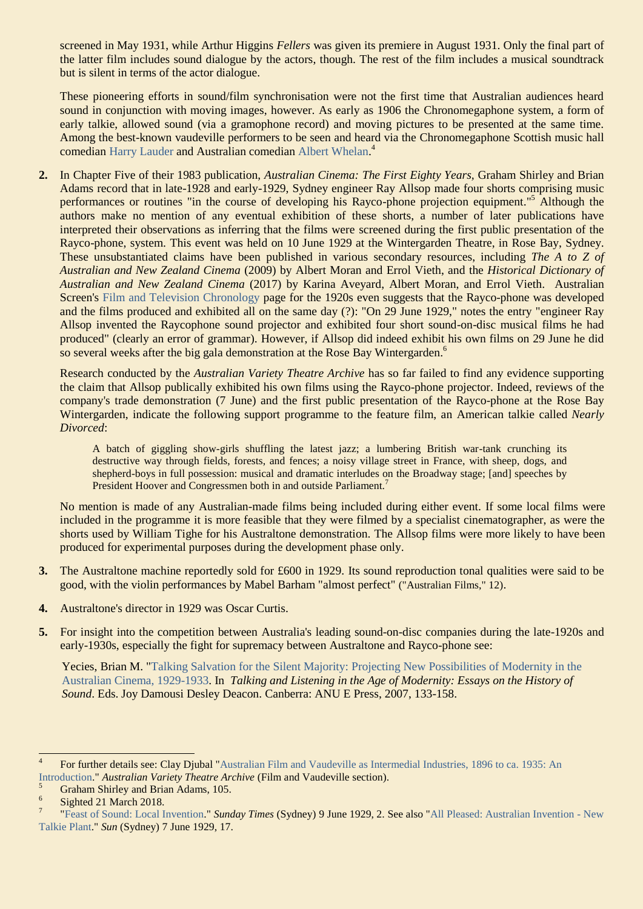screened in May 1931, while Arthur Higgins *Fellers* was given its premiere in August 1931. Only the final part of the latter film includes sound dialogue by the actors, though. The rest of the film includes a musical soundtrack but is silent in terms of the actor dialogue.

These pioneering efforts in sound/film synchronisation were not the first time that Australian audiences heard sound in conjunction with moving images, however. As early as 1906 the Chronomegaphone system, a form of early talkie, allowed sound (via a gramophone record) and moving pictures to be presented at the same time. Among the best-known vaudeville performers to be seen and heard via the Chronomegaphone Scottish music hall comedian [Harry Lauder](https://ozvta.com/international-tourists/) and Australian comedian [Albert Whelan.](https://ozvta.com/practitioners-w/)<sup>4</sup>

**2.** In Chapter Five of their 1983 publication, *Australian Cinema: The First Eighty Years,* Graham Shirley and Brian Adams record that in late-1928 and early-1929, Sydney engineer Ray Allsop made four shorts comprising music performances or routines "in the course of developing his Rayco-phone projection equipment."<sup>5</sup> Although the authors make no mention of any eventual exhibition of these shorts, a number of later publications have interpreted their observations as inferring that the films were screened during the first public presentation of the Rayco-phone, system. This event was held on 10 June 1929 at the Wintergarden Theatre, in Rose Bay, Sydney. These unsubstantiated claims have been published in various secondary resources, including *The A to Z of Australian and New Zealand Cinema* (2009) by Albert Moran and Errol Vieth, and the *Historical Dictionary of Australian and New Zealand Cinema* (2017) by Karina Aveyard, Albert Moran, and Errol Vieth. Australian Screen's [Film and Television Chronology](https://aso.gov.au/chronology/1920s/) page for the 1920s even suggests that the Rayco-phone was developed and the films produced and exhibited all on the same day (?): "On 29 June 1929," notes the entry "engineer Ray Allsop invented the Raycophone sound projector and exhibited four short sound-on-disc musical films he had produced" (clearly an error of grammar). However, if Allsop did indeed exhibit his own films on 29 June he did so several weeks after the big gala demonstration at the Rose Bay Wintergarden.<sup>6</sup>

Research conducted by the *Australian Variety Theatre Archive* has so far failed to find any evidence supporting the claim that Allsop publically exhibited his own films using the Rayco-phone projector. Indeed, reviews of the company's trade demonstration (7 June) and the first public presentation of the Rayco-phone at the Rose Bay Wintergarden, indicate the following support programme to the feature film, an American talkie called *Nearly Divorced*:

A batch of giggling show-girls shuffling the latest jazz; a lumbering British war-tank crunching its destructive way through fields, forests, and fences; a noisy village street in France, with sheep, dogs, and shepherd-boys in full possession: musical and dramatic interludes on the Broadway stage; [and] speeches by President Hoover and Congressmen both in and outside Parliament.<sup>7</sup>

No mention is made of any Australian-made films being included during either event. If some local films were included in the programme it is more feasible that they were filmed by a specialist cinematographer, as were the shorts used by William Tighe for his Australtone demonstration. The Allsop films were more likely to have been produced for experimental purposes during the development phase only.

- **3.** The Australtone machine reportedly sold for £600 in 1929. Its sound reproduction tonal qualities were said to be good, with the violin performances by Mabel Barham "almost perfect" ("Australian Films," 12).
- **4.** Australtone's director in 1929 was Oscar Curtis.
- **5.** For insight into the competition between Australia's leading sound-on-disc companies during the late-1920s and early-1930s, especially the fight for supremacy between Australtone and Rayco-phone see:

Yecies, Brian M. ["Talking Salvation for the Silent Majority: Projecting New Possibilities of Modernity in the](http://ro.uow.edu.au/cgi/viewcontent.cgi?article=1405&context=artspapers)  [Australian Cinema, 1929-1933.](http://ro.uow.edu.au/cgi/viewcontent.cgi?article=1405&context=artspapers) In *Talking and Listening in the Age of Modernity: Essays on the History of Sound*. Eds. Joy Damousi Desley Deacon. Canberra: ANU E Press, 2007, 133-158.

 $\frac{1}{4}$ For further details see: Clay Djubal ["Australian Film and Vaudeville as Intermedial Industries, 1896 to ca. 1935: An](https://ozvta.com/film-vaudeville/)  [Introduction."](https://ozvta.com/film-vaudeville/) *Australian Variety Theatre Archive* (Film and Vaudeville section).

<sup>5</sup> Graham Shirley and Brian Adams, 105.

<sup>6</sup> Sighted 21 March 2018.

<sup>7</sup> ["Feast of Sound: Local Invention.](http://nla.gov.au/nla.news-article131635793)" *Sunday Times* (Sydney) 9 June 1929, 2. See also ["All Pleased: Australian Invention -](https://trove.nla.gov.au/newspaper/article/223957265) New [Talkie Plant.](https://trove.nla.gov.au/newspaper/article/223957265)" *Sun* (Sydney) 7 June 1929, 17.